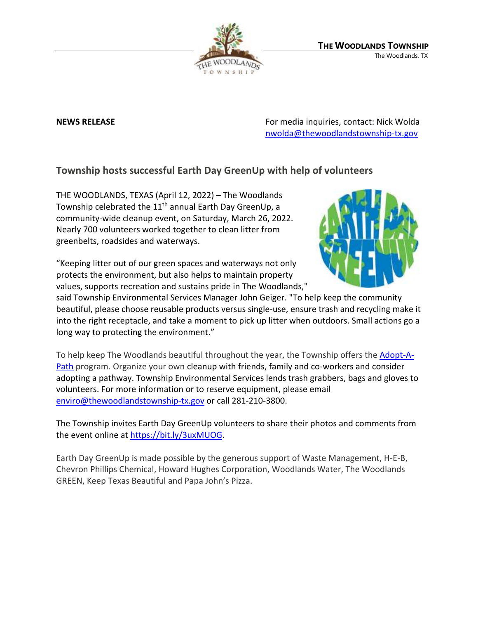

**NEWS RELEASE EXECUTE:** NEWS **RELEASE For media inquiries, contact: Nick Wolda** [nwolda@thewoodlandstownship-tx.gov](mailto:nwolda@thewoodlandstownship-tx.gov)

## **Township hosts successful Earth Day GreenUp with help of volunteers**

THE WOODLANDS, TEXAS (April 12, 2022) – The Woodlands Township celebrated the 11<sup>th</sup> annual Earth Day GreenUp, a community-wide cleanup event, on Saturday, March 26, 2022. Nearly 700 volunteers worked together to clean litter from greenbelts, roadsides and waterways.

"Keeping litter out of our green spaces and waterways not only protects the environment, but also helps to maintain property values, supports recreation and sustains pride in The Woodlands,"



said Township Environmental Services Manager John Geiger. "To help keep the community beautiful, please choose reusable products versus single-use, ensure trash and recycling make it into the right receptacle, and take a moment to pick up litter when outdoors. Small actions go a long way to protecting the environment."

To help keep The Woodlands beautiful throughout the year, the Township offers the [Adopt-A-](https://www.thewoodlandstownship-tx.gov/245/Adopt-a-Path)[Path](https://www.thewoodlandstownship-tx.gov/245/Adopt-a-Path) program. Organize your own cleanup with friends, family and co-workers and consider adopting a pathway. Township Environmental Services lends trash grabbers, bags and gloves to volunteers. For more information or to reserve equipment, please email [enviro@thewoodlandstownship-tx.gov](mailto:enviro@thewoodlandstownship-tx.gov) or call 281-210-3800.

The Township invites Earth Day GreenUp volunteers to share their photos and comments from the event online at [https://bit.ly/3uxMUOG.](https://bit.ly/3uxMUOG)

Earth Day GreenUp is made possible by the generous support of Waste Management, H-E-B, Chevron Phillips Chemical, Howard Hughes Corporation, Woodlands Water, The Woodlands GREEN, Keep Texas Beautiful and Papa John's Pizza.